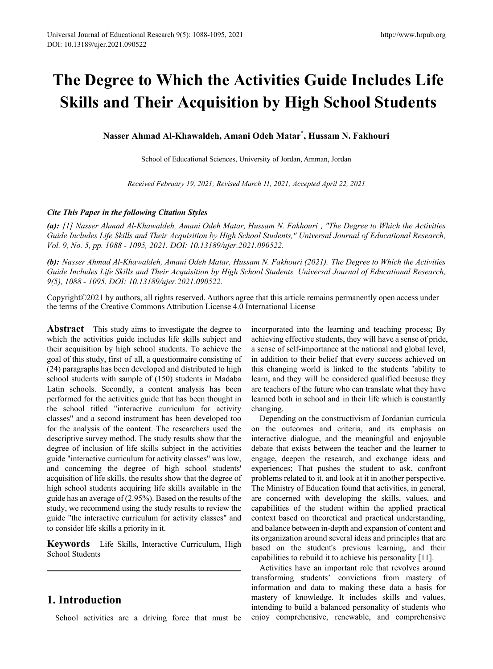# **The Degree to Which the Activities Guide Includes Life Skills and Their Acquisition by High School Students**

**Nasser Ahmad Al-Khawaldeh, Amani Odeh Matar\* , Hussam N. Fakhouri**

School of Educational Sciences, University of Jordan, Amman, Jordan

*Received February 19, 2021; Revised March 11, 2021; Accepted April 22, 2021*

#### *Cite This Paper in the following Citation Styles*

*(a): [1] Nasser Ahmad Al-Khawaldeh, Amani Odeh Matar, Hussam N. Fakhouri , "The Degree to Which the Activities Guide Includes Life Skills and Their Acquisition by High School Students," Universal Journal of Educational Research, Vol. 9, No. 5, pp. 1088 - 1095, 2021. DOI: 10.13189/ujer.2021.090522.* 

*(b): Nasser Ahmad Al-Khawaldeh, Amani Odeh Matar, Hussam N. Fakhouri (2021). The Degree to Which the Activities Guide Includes Life Skills and Their Acquisition by High School Students. Universal Journal of Educational Research, 9(5), 1088 - 1095. DOI: 10.13189/ujer.2021.090522.* 

Copyright©2021 by authors, all rights reserved. Authors agree that this article remains permanently open access under the terms of the Creative Commons Attribution License 4.0 International License

**Abstract** This study aims to investigate the degree to which the activities guide includes life skills subject and their acquisition by high school students. To achieve the goal of this study, first of all, a questionnaire consisting of (24) paragraphs has been developed and distributed to high school students with sample of (150) students in Madaba Latin schools. Secondly, a content analysis has been performed for the activities guide that has been thought in the school titled "interactive curriculum for activity classes" and a second instrument has been developed too for the analysis of the content. The researchers used the descriptive survey method. The study results show that the degree of inclusion of life skills subject in the activities guide "interactive curriculum for activity classes" was low, and concerning the degree of high school students' acquisition of life skills, the results show that the degree of high school students acquiring life skills available in the guide has an average of (2.95%). Based on the results of the study, we recommend using the study results to review the guide "the interactive curriculum for activity classes" and to consider life skills a priority in it.

**Keywords** Life Skills, Interactive Curriculum, High School Students

# **1. Introduction**

School activities are a driving force that must be

incorporated into the learning and teaching process; By achieving effective students, they will have a sense of pride, a sense of self-importance at the national and global level, in addition to their belief that every success achieved on this changing world is linked to the students 'ability to learn, and they will be considered qualified because they are teachers of the future who can translate what they have learned both in school and in their life which is constantly changing.

Depending on the constructivism of Jordanian curricula on the outcomes and criteria, and its emphasis on interactive dialogue, and the meaningful and enjoyable debate that exists between the teacher and the learner to engage, deepen the research, and exchange ideas and experiences; That pushes the student to ask, confront problems related to it, and look at it in another perspective. The Ministry of Education found that activities, in general, are concerned with developing the skills, values, and capabilities of the student within the applied practical context based on theoretical and practical understanding, and balance between in-depth and expansion of content and its organization around several ideas and principles that are based on the student's previous learning, and their capabilities to rebuild it to achieve his personality [11].

Activities have an important role that revolves around transforming students' convictions from mastery of information and data to making these data a basis for mastery of knowledge. It includes skills and values, intending to build a balanced personality of students who enjoy comprehensive, renewable, and comprehensive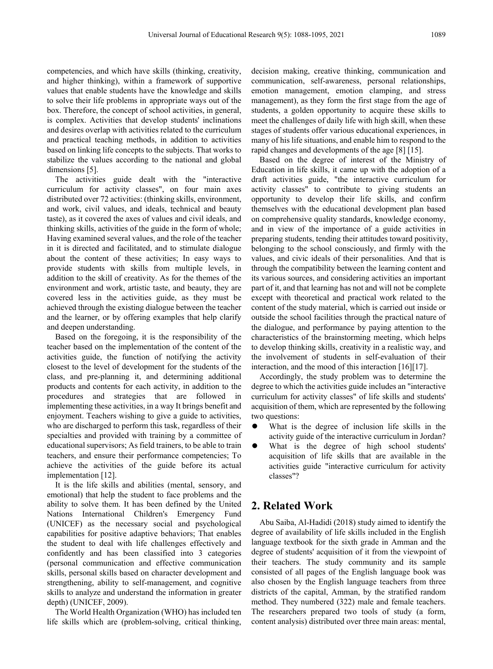competencies, and which have skills (thinking, creativity, and higher thinking), within a framework of supportive values that enable students have the knowledge and skills to solve their life problems in appropriate ways out of the box. Therefore, the concept of school activities, in general, is complex. Activities that develop students' inclinations and desires overlap with activities related to the curriculum and practical teaching methods, in addition to activities based on linking life concepts to the subjects. That works to stabilize the values according to the national and global dimensions [5].

The activities guide dealt with the "interactive curriculum for activity classes", on four main axes distributed over 72 activities: (thinking skills, environment, and work, civil values, and ideals, technical and beauty taste), as it covered the axes of values and civil ideals, and thinking skills, activities of the guide in the form of whole; Having examined several values, and the role of the teacher in it is directed and facilitated, and to stimulate dialogue about the content of these activities; In easy ways to provide students with skills from multiple levels, in addition to the skill of creativity. As for the themes of the environment and work, artistic taste, and beauty, they are covered less in the activities guide, as they must be achieved through the existing dialogue between the teacher and the learner, or by offering examples that help clarify and deepen understanding.

Based on the foregoing, it is the responsibility of the teacher based on the implementation of the content of the activities guide, the function of notifying the activity closest to the level of development for the students of the class, and pre-planning it, and determining additional products and contents for each activity, in addition to the procedures and strategies that are followed in implementing these activities, in a way It brings benefit and enjoyment. Teachers wishing to give a guide to activities, who are discharged to perform this task, regardless of their specialties and provided with training by a committee of educational supervisors; As field trainers, to be able to train teachers, and ensure their performance competencies; To achieve the activities of the guide before its actual implementation [12].

It is the life skills and abilities (mental, sensory, and emotional) that help the student to face problems and the ability to solve them. It has been defined by the United Nations International Children's Emergency Fund (UNICEF) as the necessary social and psychological capabilities for positive adaptive behaviors; That enables the student to deal with life challenges effectively and confidently and has been classified into 3 categories (personal communication and effective communication skills, personal skills based on character development and strengthening, ability to self-management, and cognitive skills to analyze and understand the information in greater depth) (UNICEF, 2009).

The World Health Organization (WHO) has included ten life skills which are (problem-solving, critical thinking,

decision making, creative thinking, communication and communication, self-awareness, personal relationships, emotion management, emotion clamping, and stress management), as they form the first stage from the age of students, a golden opportunity to acquire these skills to meet the challenges of daily life with high skill, when these stages of students offer various educational experiences, in many of his life situations, and enable him to respond to the rapid changes and developments of the age [8] [15].

Based on the degree of interest of the Ministry of Education in life skills, it came up with the adoption of a draft activities guide, "the interactive curriculum for activity classes" to contribute to giving students an opportunity to develop their life skills, and confirm themselves with the educational development plan based on comprehensive quality standards, knowledge economy, and in view of the importance of a guide activities in preparing students, tending their attitudes toward positivity, belonging to the school consciously, and firmly with the values, and civic ideals of their personalities. And that is through the compatibility between the learning content and its various sources, and considering activities an important part of it, and that learning has not and will not be complete except with theoretical and practical work related to the content of the study material, which is carried out inside or outside the school facilities through the practical nature of the dialogue, and performance by paying attention to the characteristics of the brainstorming meeting, which helps to develop thinking skills, creativity in a realistic way, and the involvement of students in self-evaluation of their interaction, and the mood of this interaction [16][17].

Accordingly, the study problem was to determine the degree to which the activities guide includes an "interactive curriculum for activity classes" of life skills and students' acquisition of them, which are represented by the following two questions:

- What is the degree of inclusion life skills in the activity guide of the interactive curriculum in Jordan?
- What is the degree of high school students' acquisition of life skills that are available in the activities guide "interactive curriculum for activity classes"?

# **2. Related Work**

Abu Saiba, Al-Hadidi (2018) study aimed to identify the degree of availability of life skills included in the English language textbook for the sixth grade in Amman and the degree of students' acquisition of it from the viewpoint of their teachers. The study community and its sample consisted of all pages of the English language book was also chosen by the English language teachers from three districts of the capital, Amman, by the stratified random method. They numbered (322) male and female teachers. The researchers prepared two tools of study (a form, content analysis) distributed over three main areas: mental,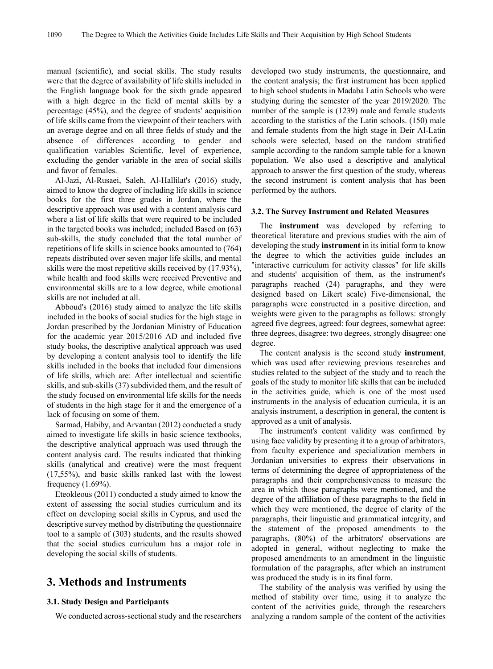manual (scientific), and social skills. The study results were that the degree of availability of life skills included in the English language book for the sixth grade appeared with a high degree in the field of mental skills by a percentage (45%), and the degree of students' acquisition of life skills came from the viewpoint of their teachers with an average degree and on all three fields of study and the absence of differences according to gender and qualification variables Scientific, level of experience, excluding the gender variable in the area of social skills and favor of females.

Al-Jazi, Al-Rusaei, Saleh, Al-Hallilat's (2016) study, aimed to know the degree of including life skills in science books for the first three grades in Jordan, where the descriptive approach was used with a content analysis card where a list of life skills that were required to be included in the targeted books was included; included Based on (63) sub-skills, the study concluded that the total number of repetitions of life skills in science books amounted to (764) repeats distributed over seven major life skills, and mental skills were the most repetitive skills received by (17.93%), while health and food skills were received Preventive and environmental skills are to a low degree, while emotional skills are not included at all.

Abboud's (2016) study aimed to analyze the life skills included in the books of social studies for the high stage in Jordan prescribed by the Jordanian Ministry of Education for the academic year 2015/2016 AD and included five study books, the descriptive analytical approach was used by developing a content analysis tool to identify the life skills included in the books that included four dimensions of life skills, which are: After intellectual and scientific skills, and sub-skills (37) subdivided them, and the result of the study focused on environmental life skills for the needs of students in the high stage for it and the emergence of a lack of focusing on some of them.

Sarmad, Habiby, and Arvantan (2012) conducted a study aimed to investigate life skills in basic science textbooks, the descriptive analytical approach was used through the content analysis card. The results indicated that thinking skills (analytical and creative) were the most frequent (17,55%), and basic skills ranked last with the lowest frequency (1.69%).

Eteokleous (2011) conducted a study aimed to know the extent of assessing the social studies curriculum and its effect on developing social skills in Cyprus, and used the descriptive survey method by distributing the questionnaire tool to a sample of (303) students, and the results showed that the social studies curriculum has a major role in developing the social skills of students.

## **3. Methods and Instruments**

#### **3.1. Study Design and Participants**

We conducted across-sectional study and the researchers

developed two study instruments, the questionnaire, and the content analysis; the first instrument has been applied to high school students in Madaba Latin Schools who were studying during the semester of the year 2019/2020. The number of the sample is (1239) male and female students according to the statistics of the Latin schools. (150) male and female students from the high stage in Deir Al-Latin schools were selected, based on the random stratified sample according to the random sample table for a known population. We also used a descriptive and analytical approach to answer the first question of the study, whereas the second instrument is content analysis that has been performed by the authors.

#### **3.2. The Survey Instrument and Related Measures**

The **instrument** was developed by referring to theoretical literature and previous studies with the aim of developing the study **instrument** in its initial form to know the degree to which the activities guide includes an "interactive curriculum for activity classes" for life skills and students' acquisition of them, as the instrument's paragraphs reached (24) paragraphs, and they were designed based on Likert scale) Five-dimensional, the paragraphs were constructed in a positive direction, and weights were given to the paragraphs as follows: strongly agreed five degrees, agreed: four degrees, somewhat agree: three degrees, disagree: two degrees, strongly disagree: one degree.

The content analysis is the second study **instrument**, which was used after reviewing previous researches and studies related to the subject of the study and to reach the goals of the study to monitor life skills that can be included in the activities guide, which is one of the most used instruments in the analysis of education curricula, it is an analysis instrument, a description in general, the content is approved as a unit of analysis.

The instrument's content validity was confirmed by using face validity by presenting it to a group of arbitrators, from faculty experience and specialization members in Jordanian universities to express their observations in terms of determining the degree of appropriateness of the paragraphs and their comprehensiveness to measure the area in which those paragraphs were mentioned, and the degree of the affiliation of these paragraphs to the field in which they were mentioned, the degree of clarity of the paragraphs, their linguistic and grammatical integrity, and the statement of the proposed amendments to the paragraphs, (80%) of the arbitrators' observations are adopted in general, without neglecting to make the proposed amendments to an amendment in the linguistic formulation of the paragraphs, after which an instrument was produced the study is in its final form.

The stability of the analysis was verified by using the method of stability over time, using it to analyze the content of the activities guide, through the researchers analyzing a random sample of the content of the activities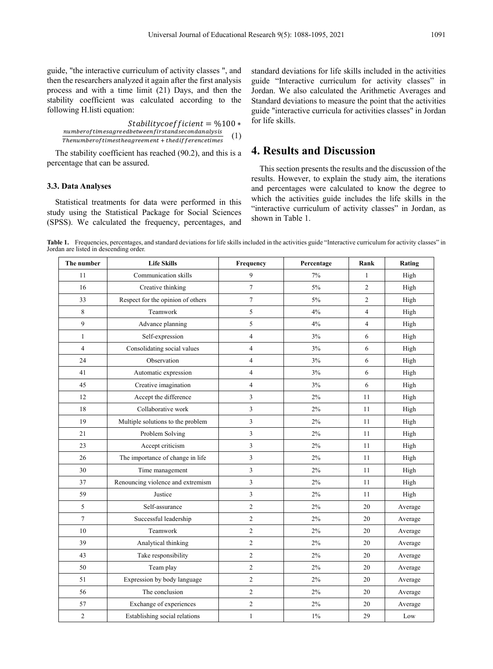guide, "the interactive curriculum of activity classes ", and then the researchers analyzed it again after the first analysis process and with a time limit (21) Days, and then the stability coefficient was calculated according to the following H.listi equation:

 $Stability coefficient = %100 *$  $number of times agreed between first and second analysis$ *<u>Thenumber of timesup rediserveent</u>*  $\mu$  *standsecondumarysts* (1)

The stability coefficient has reached (90.2), and this is a percentage that can be assured.

#### **3.3. Data Analyses**

Statistical treatments for data were performed in this study using the Statistical Package for Social Sciences (SPSS). We calculated the frequency, percentages, and

standard deviations for life skills included in the activities guide "Interactive curriculum for activity classes" in Jordan. We also calculated the Arithmetic Averages and Standard deviations to measure the point that the activities guide "interactive curricula for activities classes" in Jordan for life skills.

## **4. Results and Discussion**

This section presents the results and the discussion of the results. However, to explain the study aim, the iterations and percentages were calculated to know the degree to which the activities guide includes the life skills in the "interactive curriculum of activity classes" in Jordan, as shown in Table 1.

Table 1. Frequencies, percentages, and standard deviations for life skills included in the activities guide "Interactive curriculum for activity classes" in Jordan are listed in descending order.

| The number     | <b>Life Skills</b>                | Frequency               | Percentage | Rank           | Rating  |
|----------------|-----------------------------------|-------------------------|------------|----------------|---------|
| 11             | Communication skills              | 9                       | 7%         | 1              | High    |
| 16             | Creative thinking                 | $\tau$                  | 5%         | $\overline{c}$ | High    |
| 33             | Respect for the opinion of others | $\boldsymbol{7}$        | 5%         | $\overline{c}$ | High    |
| 8              | Teamwork                          | 5                       | 4%         | $\overline{4}$ | High    |
| 9              | Advance planning                  | 5                       | 4%         | $\overline{4}$ | High    |
| $\mathbf{1}$   | Self-expression                   | 4                       | 3%         | 6              | High    |
| $\overline{4}$ | Consolidating social values       | $\overline{\mathbf{4}}$ | 3%         | 6              | High    |
| 24             | Observation                       | 4                       | 3%         | 6              | High    |
| 41             | Automatic expression              | 4                       | 3%         | 6              | High    |
| 45             | Creative imagination              | $\overline{4}$          | 3%         | 6              | High    |
| 12             | Accept the difference             | 3                       | 2%         | 11             | High    |
| 18             | Collaborative work                | 3                       | 2%         | 11             | High    |
| 19             | Multiple solutions to the problem | 3                       | 2%         | 11             | High    |
| 21             | Problem Solving                   | 3                       | 2%         | 11             | High    |
| 23             | Accept criticism                  | 3                       | 2%         | 11             | High    |
| 26             | The importance of change in life  | 3                       | 2%         | 11             | High    |
| 30             | Time management                   | 3                       | 2%         | 11             | High    |
| 37             | Renouncing violence and extremism | 3                       | 2%         | 11             | High    |
| 59             | Justice                           | 3                       | 2%         | 11             | High    |
| 5              | Self-assurance                    | $\mathfrak{2}$          | 2%         | 20             | Average |
| $\tau$         | Successful leadership             | $\overline{c}$          | 2%         | 20             | Average |
| 10             | Teamwork                          | $\mathfrak{2}$          | 2%         | 20             | Average |
| 39             | Analytical thinking               | $\mathfrak{2}$          | 2%         | 20             | Average |
| 43             | Take responsibility               | $\mathfrak{2}$          | 2%         | 20             | Average |
| 50             | Team play                         | $\overline{c}$          | 2%         | 20             | Average |
| 51             | Expression by body language       | $\mathfrak{2}$          | 2%         | 20             | Average |
| 56             | The conclusion                    | $\overline{c}$          | 2%         | 20             | Average |
| 57             | Exchange of experiences           | $\mathfrak{2}$          | $2\%$      | 20             | Average |
| $\overline{c}$ | Establishing social relations     | $\mathbf{1}$            | $1\%$      | 29             | Low     |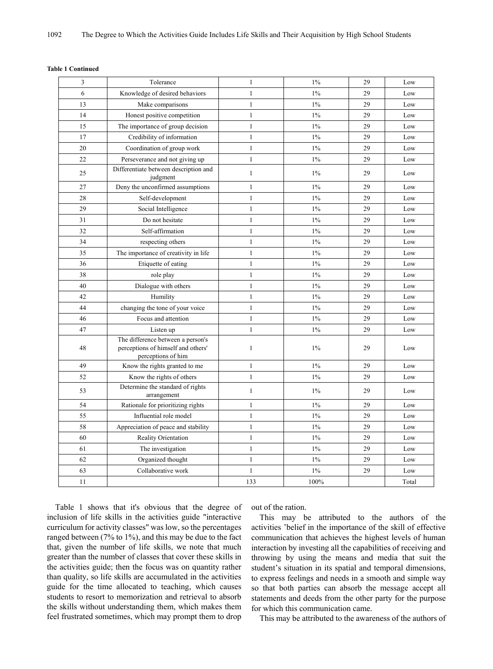| 3  | Tolerance                                                                                     | 1            | $1\%$ | 29 | Low          |
|----|-----------------------------------------------------------------------------------------------|--------------|-------|----|--------------|
| 6  | Knowledge of desired behaviors                                                                | $\mathbf{1}$ | $1\%$ | 29 | Low          |
| 13 | Make comparisons                                                                              | $\mathbf{1}$ | $1\%$ | 29 | Low          |
| 14 | Honest positive competition                                                                   | $\mathbf{1}$ | $1\%$ | 29 | Low          |
| 15 | The importance of group decision                                                              | $\mathbf{1}$ | $1\%$ | 29 | Low          |
| 17 | Credibility of information                                                                    | $\mathbf{1}$ | $1\%$ | 29 | Low          |
| 20 | Coordination of group work                                                                    | $\mathbf{1}$ | $1\%$ | 29 | Low          |
| 22 | Perseverance and not giving up                                                                | $\mathbf{1}$ | $1\%$ | 29 | Low          |
| 25 | Differentiate between description and<br>judgment                                             | $\mathbf{1}$ | $1\%$ | 29 | Low          |
| 27 | Deny the unconfirmed assumptions                                                              | $\mathbf{1}$ | $1\%$ | 29 | Low          |
| 28 | Self-development                                                                              | $\mathbf{1}$ | $1\%$ | 29 | Low          |
| 29 | Social Intelligence                                                                           | $\mathbf{1}$ | $1\%$ | 29 | Low          |
| 31 | Do not hesitate                                                                               | $\mathbf{1}$ | $1\%$ | 29 | Low          |
| 32 | Self-affirmation                                                                              | $\mathbf{1}$ | $1\%$ | 29 | Low          |
| 34 | respecting others                                                                             | $\mathbf{1}$ | $1\%$ | 29 | Low          |
| 35 | The importance of creativity in life                                                          | $\mathbf{1}$ | $1\%$ | 29 | Low          |
| 36 | Etiquette of eating                                                                           | $\,1$        | $1\%$ | 29 | Low          |
| 38 | role play                                                                                     | $\mathbf{1}$ | $1\%$ | 29 | Low          |
| 40 | Dialogue with others                                                                          | $\mathbf{1}$ | $1\%$ | 29 | Low          |
| 42 | Humility                                                                                      | $\mathbf{1}$ | $1\%$ | 29 | Low          |
| 44 | changing the tone of your voice                                                               | $\,1$        | $1\%$ | 29 | Low          |
| 46 | Focus and attention                                                                           | $\mathbf{1}$ | $1\%$ | 29 | $_{\rm Low}$ |
| 47 | Listen up                                                                                     | $\mathbf{1}$ | $1\%$ | 29 | Low          |
| 48 | The difference between a person's<br>perceptions of himself and others'<br>perceptions of him | $\mathbf{1}$ | $1\%$ | 29 | Low          |
| 49 | Know the rights granted to me                                                                 | $\mathbf{1}$ | $1\%$ | 29 | Low          |
| 52 | Know the rights of others                                                                     | $\mathbf{1}$ | $1\%$ | 29 | Low          |
| 53 | Determine the standard of rights<br>arrangement                                               | 1            | $1\%$ | 29 | Low          |
| 54 | Rationale for prioritizing rights                                                             | $\mathbf{1}$ | $1\%$ | 29 | Low          |
| 55 | Influential role model                                                                        | $\mathbf{1}$ | $1\%$ | 29 | Low          |
| 58 | Appreciation of peace and stability                                                           | $\mathbf{1}$ | $1\%$ | 29 | Low          |
| 60 | <b>Reality Orientation</b>                                                                    | $\mathbf{1}$ | $1\%$ | 29 | Low          |
| 61 | The investigation                                                                             | $\mathbf{1}$ | $1\%$ | 29 | Low          |
| 62 | Organized thought                                                                             | $\mathbf{1}$ | $1\%$ | 29 | Low          |
| 63 | Collaborative work                                                                            | $\mathbf{1}$ | $1\%$ | 29 | Low          |
| 11 |                                                                                               | 133          | 100%  |    | Total        |

#### **Table 1 Continued**

Table 1 shows that it's obvious that the degree of inclusion of life skills in the activities guide "interactive curriculum for activity classes" was low, so the percentages ranged between (7% to 1%), and this may be due to the fact that, given the number of life skills, we note that much greater than the number of classes that cover these skills in the activities guide; then the focus was on quantity rather than quality, so life skills are accumulated in the activities guide for the time allocated to teaching, which causes students to resort to memorization and retrieval to absorb the skills without understanding them, which makes them feel frustrated sometimes, which may prompt them to drop

out of the ration.

This may be attributed to the authors of the activities 'belief in the importance of the skill of effective communication that achieves the highest levels of human interaction by investing all the capabilities of receiving and throwing by using the means and media that suit the student's situation in its spatial and temporal dimensions, to express feelings and needs in a smooth and simple way so that both parties can absorb the message accept all statements and deeds from the other party for the purpose for which this communication came.

This may be attributed to the awareness of the authors of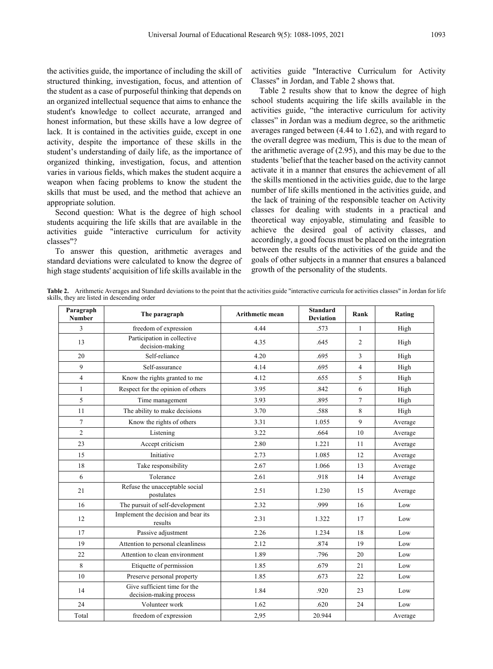the activities guide, the importance of including the skill of structured thinking, investigation, focus, and attention of the student as a case of purposeful thinking that depends on an organized intellectual sequence that aims to enhance the student's knowledge to collect accurate, arranged and honest information, but these skills have a low degree of lack. It is contained in the activities guide, except in one activity, despite the importance of these skills in the student's understanding of daily life, as the importance of organized thinking, investigation, focus, and attention varies in various fields, which makes the student acquire a weapon when facing problems to know the student the skills that must be used, and the method that achieve an appropriate solution.

Second question: What is the degree of high school students acquiring the life skills that are available in the activities guide "interactive curriculum for activity classes"?

To answer this question, arithmetic averages and standard deviations were calculated to know the degree of high stage students' acquisition of life skills available in the activities guide "Interactive Curriculum for Activity Classes" in Jordan, and Table 2 shows that.

Table 2 results show that to know the degree of high school students acquiring the life skills available in the activities guide, "the interactive curriculum for activity classes" in Jordan was a medium degree, so the arithmetic averages ranged between (4.44 to 1.62), and with regard to the overall degree was medium, This is due to the mean of the arithmetic average of (2.95), and this may be due to the students 'belief that the teacher based on the activity cannot activate it in a manner that ensures the achievement of all the skills mentioned in the activities guide, due to the large number of life skills mentioned in the activities guide, and the lack of training of the responsible teacher on Activity classes for dealing with students in a practical and theoretical way enjoyable, stimulating and feasible to achieve the desired goal of activity classes, and accordingly, a good focus must be placed on the integration between the results of the activities of the guide and the goals of other subjects in a manner that ensures a balanced growth of the personality of the students.

**Table 2.** Arithmetic Averages and Standard deviations to the point that the activities guide "interactive curricula for activities classes" in Jordan for life skills, they are listed in descending order

| Paragraph<br><b>Number</b> | The paragraph                                           | <b>Arithmetic mean</b> | <b>Standard</b><br><b>Deviation</b> | Rank           | Rating  |
|----------------------------|---------------------------------------------------------|------------------------|-------------------------------------|----------------|---------|
| 3                          | freedom of expression                                   | 4.44                   | .573                                | $\mathbf{1}$   | High    |
| 13                         | Participation in collective<br>decision-making          | 4.35                   | .645                                | 2              | High    |
| 20                         | Self-reliance                                           | 4.20                   | .695                                | 3              | High    |
| 9                          | Self-assurance                                          | 4.14                   | .695                                | $\overline{4}$ | High    |
| $\overline{4}$             | Know the rights granted to me                           | 4.12                   | .655                                | 5              | High    |
| $\mathbf{1}$               | Respect for the opinion of others                       | 3.95                   | .842                                | 6              | High    |
| 5                          | Time management                                         | 3.93                   | .895                                | $\overline{7}$ | High    |
| 11                         | The ability to make decisions                           | 3.70                   | .588                                | 8              | High    |
| $\overline{7}$             | Know the rights of others                               | 3.31                   | 1.055                               | 9              | Average |
| 2                          | Listening                                               | 3.22                   | .664                                | 10             | Average |
| 23                         | Accept criticism                                        | 2.80                   | 1.221                               | 11             | Average |
| 15                         | Initiative                                              | 2.73                   | 1.085                               | 12             | Average |
| 18                         | Take responsibility                                     | 2.67                   | 1.066                               | 13             | Average |
| 6                          | Tolerance                                               | 2.61                   | .918                                | 14             | Average |
| 21                         | Refuse the unacceptable social<br>postulates            | 2.51                   | 1.230                               | 15             | Average |
| 16                         | The pursuit of self-development                         | 2.32                   | .999                                | 16             | Low     |
| 12                         | Implement the decision and bear its<br>results          | 2.31                   | 1.322                               | 17             | Low     |
| 17                         | Passive adjustment                                      | 2.26                   | 1.234                               | 18             | Low     |
| 19                         | Attention to personal cleanliness                       | 2.12                   | .874                                | 19             | Low     |
| 22                         | Attention to clean environment                          | 1.89                   | .796                                | 20             | Low     |
| 8                          | Etiquette of permission                                 | 1.85                   | .679                                | 21             | Low     |
| 10                         | Preserve personal property                              | 1.85                   | .673                                | 22             | Low     |
| 14                         | Give sufficient time for the<br>decision-making process | 1.84                   | .920                                | 23             | Low     |
| 24                         | Volunteer work                                          | 1.62                   | .620                                | 24             | Low     |
| Total                      | freedom of expression                                   | 2,95                   | 20.944                              |                | Average |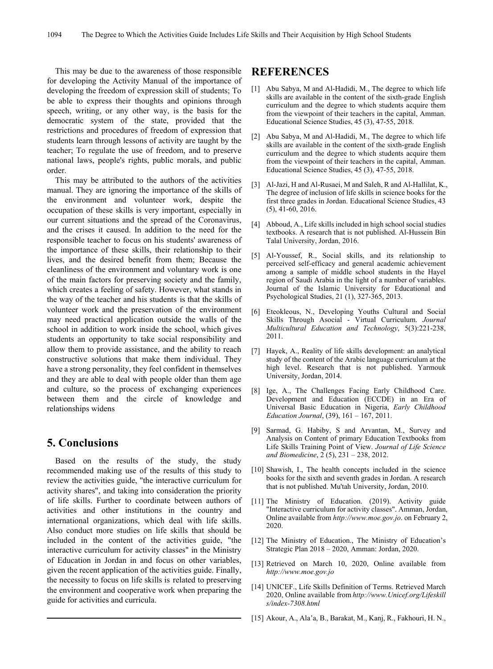This may be due to the awareness of those responsible for developing the Activity Manual of the importance of developing the freedom of expression skill of students; To be able to express their thoughts and opinions through speech, writing, or any other way, is the basis for the democratic system of the state, provided that the restrictions and procedures of freedom of expression that students learn through lessons of activity are taught by the teacher; To regulate the use of freedom, and to preserve national laws, people's rights, public morals, and public order.

This may be attributed to the authors of the activities manual. They are ignoring the importance of the skills of the environment and volunteer work, despite the occupation of these skills is very important, especially in our current situations and the spread of the Coronavirus, and the crises it caused. In addition to the need for the responsible teacher to focus on his students' awareness of the importance of these skills, their relationship to their lives, and the desired benefit from them; Because the cleanliness of the environment and voluntary work is one of the main factors for preserving society and the family, which creates a feeling of safety. However, what stands in the way of the teacher and his students is that the skills of volunteer work and the preservation of the environment may need practical application outside the walls of the school in addition to work inside the school, which gives students an opportunity to take social responsibility and allow them to provide assistance, and the ability to reach constructive solutions that make them individual. They have a strong personality, they feel confident in themselves and they are able to deal with people older than them age and culture, so the process of exchanging experiences between them and the circle of knowledge and relationships widens

## **5. Conclusions**

Based on the results of the study, the study recommended making use of the results of this study to review the activities guide, "the interactive curriculum for activity shares", and taking into consideration the priority of life skills. Further to coordinate between authors of activities and other institutions in the country and international organizations, which deal with life skills. Also conduct more studies on life skills that should be included in the content of the activities guide, "the interactive curriculum for activity classes" in the Ministry of Education in Jordan in and focus on other variables, given the recent application of the activities guide. Finally, the necessity to focus on life skills is related to preserving the environment and cooperative work when preparing the guide for activities and curricula.

### **REFERENCES**

- [1] Abu Sabya, M and Al-Hadidi, M., The degree to which life skills are available in the content of the sixth-grade English curriculum and the degree to which students acquire them from the viewpoint of their teachers in the capital, Amman. Educational Science Studies, 45 (3), 47-55, 2018.
- [2] Abu Sabya, M and Al-Hadidi, M., The degree to which life skills are available in the content of the sixth-grade English curriculum and the degree to which students acquire them from the viewpoint of their teachers in the capital, Amman. Educational Science Studies, 45 (3), 47-55, 2018.
- [3] Al-Jazi, H and Al-Rusaei, M and Saleh, R and Al-Hallilat, K., The degree of inclusion of life skills in science books for the first three grades in Jordan. Educational Science Studies, 43 (5), 41-60, 2016.
- [4] Abboud, A., Life skills included in high school social studies textbooks. A research that is not published. Al-Hussein Bin Talal University, Jordan, 2016.
- [5] Al-Youssef, R., Social skills, and its relationship to perceived self-efficacy and general academic achievement among a sample of middle school students in the Hayel region of Saudi Arabia in the light of a number of variables. Journal of the Islamic University for Educational and Psychological Studies, 21 (1), 327-365, 2013.
- [6] Eteokleous, N., Developing Youths Cultural and Social Skills Through Asocial - Virtual Curriculum. *Journal Multicultural Education and Technology*, 5(3):221-238, 2011.
- [7] Hayek, A., Reality of life skills development: an analytical study of the content of the Arabic language curriculum at the high level. Research that is not published. Yarmouk University, Jordan, 2014.
- [8] Ige, A., The Challenges Facing Early Childhood Care. Development and Education (ECCDE) in an Era of Universal Basic Education in Nigeria, *Early Childhood Education Journal*, (39), 161 – 167, 2011.
- [9] Sarmad, G. Habiby, S and Arvantan, M., Survey and Analysis on Content of primary Education Textbooks from Life Skills Training Point of View. *Journal of Life Science and Biomedicine*, 2 (5), 231 – 238, 2012.
- [10] Shawish, I., The health concepts included in the science books for the sixth and seventh grades in Jordan. A research that is not published. Mu'tah University, Jordan, 2010.
- [11] The Ministry of Education. (2019). Activity guide "Interactive curriculum for activity classes". Amman, Jordan, Online available from *http://www.moe.gov.jo*. on February 2, 2020.
- [12] The Ministry of Education., The Ministry of Education's Strategic Plan 2018 – 2020, Amman: Jordan, 2020.
- [13] Retrieved on March 10, 2020, Online available from *http://www.moe.gov.jo*
- [14] UNICEF., Life Skills Definition of Terms. Retrieved March 2020, Online available from *http://www.Unicef.org/Lifeskill s/index-7308.html*
- [15] Akour, A., Ala'a, B., Barakat, M., Kanj, R., Fakhouri, H. N.,